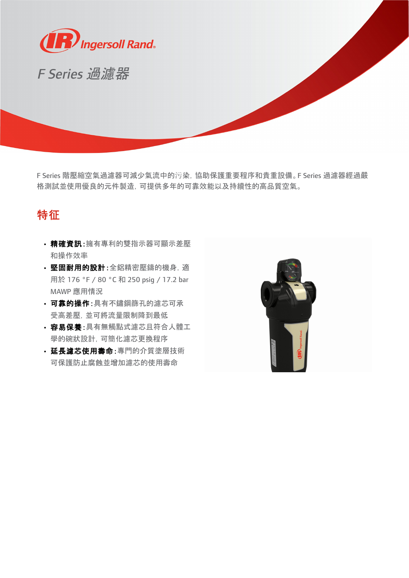

F Series 過濾器

F Series 階壓縮空氣過濾器可減少氣流中的污染,協助保護重要程序和貴重設備。F Series 過濾器經過嚴 格測試並使用優良的元件製造,可提供多年的可靠效能以及持續性的高品質空氣。

## 特征

- ·精確資訊:擁有專利的雙指示器可顯示差壓 和操作效率
- · 堅固耐用的設計:全鋁精密壓鑄的機身, 適 用於 176 °F / 80 °C 和 250 psig / 17.2 bar MAWP 應用情況
- 可靠的操作:具有不鏽鋼篩孔的濾芯可承 受高差壓,並可將流量限制降到最低
- · 容易保養:具有無觸點式濾芯日符合人體工 學的碗狀設計,可簡化濾芯更換程序
- · 延長濾芯使用壽命:專門的介質塗層技術 可保護防止腐蝕並增加濾芯的使用壽命